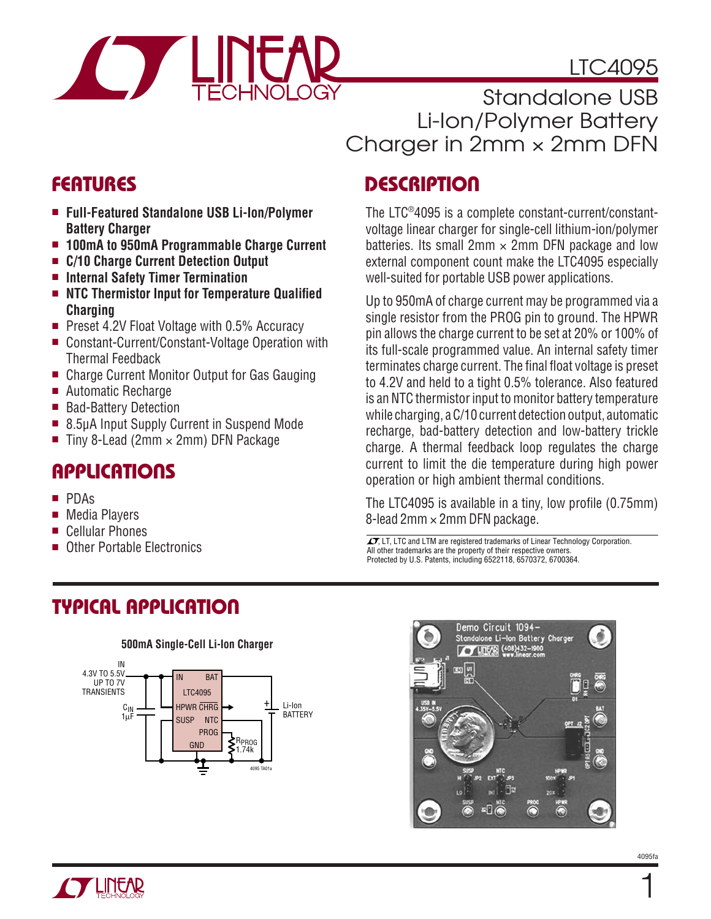# LTC4095



Standalone USB Li-Ion/Polymer Battery Charger in  $2mm \times 2mm$  DFN

# **FEATURES**

- **Full-Featured Standalone USB Li-Ion/Polymer Battery Charger**
- **100mA to 950mA Programmable Charge Current**
- **C/10 Charge Current Detection Output**
- **Internal Safety Timer Termination**
- NTC Thermistor Input for Temperature Qualified **Charging**
- Preset 4.2V Float Voltage with 0.5% Accuracy
- Constant-Current/Constant-Voltage Operation with Thermal Feedback
- Charge Current Monitor Output for Gas Gauging
- Automatic Recharge
- Bad-Battery Detection
- 8.5µA Input Supply Current in Suspend Mode
- Tiny 8-Lead (2mm  $\times$  2mm) DFN Package

# **APPLICATIONS**

- PDAs
- Media Players
- Cellular Phones
- 

# **DESCRIPTION**

The LTC®4095 is a complete constant-current/constantvoltage linear charger for single-cell lithium-ion/polymer batteries. Its small  $2mm \times 2mm$  DFN package and low external component count make the LTC4095 especially well-suited for portable USB power applications.

Up to 950mA of charge current may be programmed via a single resistor from the PROG pin to ground. The HPWR pin allows the charge current to be set at 20% or 100% of its full-scale programmed value. An internal safety timer terminates charge current. The final float voltage is preset to 4.2V and held to a tight 0.5% tolerance. Also featured is an NTC thermistor input to monitor battery temperature while charging, a C/10 current detection output, automatic recharge, bad-battery detection and low-battery trickle charge. A thermal feedback loop regulates the charge current to limit the die temperature during high power operation or high ambient thermal conditions.

The LTC4095 is available in a tiny, low profile  $(0.75 \text{mm})$ 8-lead  $2mm \times 2mm$  DFN package.

 $\sigma$ , LT, LTC and LTM are registered trademarks of Linear Technology Corporation.<br>
all other trademarks are the property of their respective owners All other trademarks are the property of their respective owners. Protected by U.S. Patents, including 6522118, 6570372, 6700364.

# **TYPICAL APPLICATION**







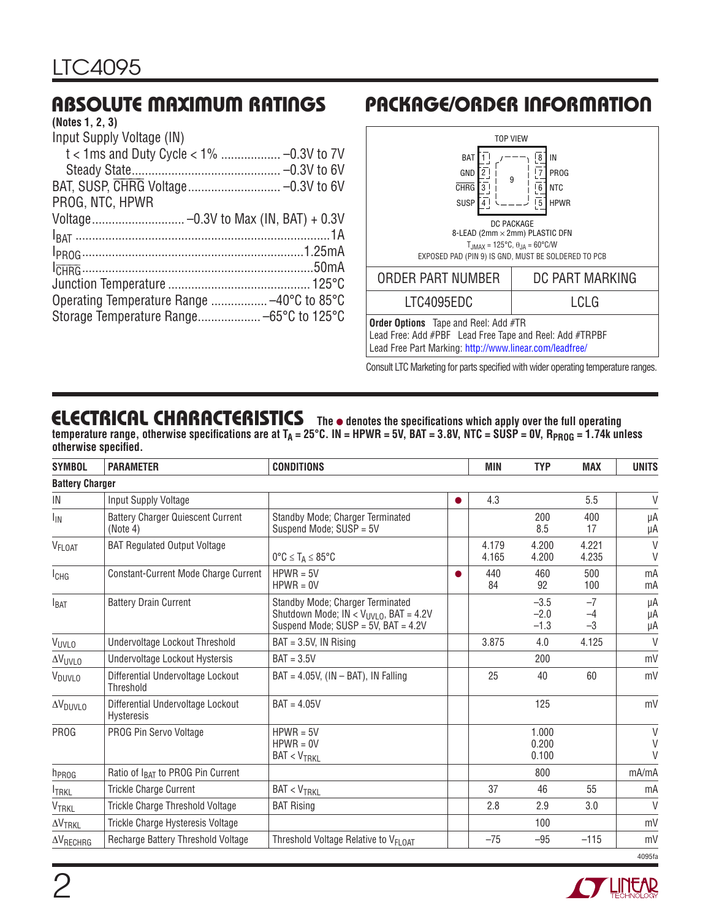# **ABSOLUTE MAXIMUM RATINGS**

#### **(Notes 1, 2, 3)**

| Input Supply Voltage (IN) |  |
|---------------------------|--|
|                           |  |
|                           |  |
|                           |  |
| PROG, NTC, HPWR           |  |
|                           |  |
|                           |  |
|                           |  |
|                           |  |
|                           |  |
|                           |  |
|                           |  |
|                           |  |

# **PACKAGE/ORDER INFORMATION**



Consult LTC Marketing for parts specified with wider operating temperature ranges.

## **ELECTRICAL CHARACTERISTICS** The  $\bullet$  denotes the specifications which apply over the full operating

temperature range, otherwise specifications are at  $T_A = 25^{\circ}$ C. IN = HPWR = 5V, BAT = 3.8V, NTC = SUSP = 0V, R<sub>PROG</sub> = 1.74k unless otherwise specified.

| <b>SYMBOL</b>          | <b>PARAMETER</b>                                       | <b>CONDITIONS</b>                                                                                                                  |           | <b>MIN</b>     | <b>TYP</b>                 | <b>MAX</b>           | <b>UNITS</b>     |
|------------------------|--------------------------------------------------------|------------------------------------------------------------------------------------------------------------------------------------|-----------|----------------|----------------------------|----------------------|------------------|
| <b>Battery Charger</b> |                                                        |                                                                                                                                    |           |                |                            |                      |                  |
| IN                     | Input Supply Voltage                                   |                                                                                                                                    |           | 4.3            |                            | 5.5                  | V                |
| <sup>I</sup> IN        | <b>Battery Charger Quiescent Current</b><br>(Note 4)   | Standby Mode; Charger Terminated<br>Suspend Mode; SUSP = 5V                                                                        |           |                | 200<br>8.5                 | 400<br>17            | μA<br>μA         |
| V <sub>FLOAT</sub>     | <b>BAT Regulated Output Voltage</b>                    | $0^{\circ}C \leq T_A \leq 85^{\circ}C$                                                                                             |           | 4.179<br>4.165 | 4.200<br>4.200             | 4.221<br>4.235       | $\vee$<br>$\vee$ |
| <b>I</b> CHG           | Constant-Current Mode Charge Current                   | $HPWR = 5V$<br>$HPWR = 0V$                                                                                                         | $\bullet$ | 440<br>84      | 460<br>92                  | 500<br>100           | mA<br>mA         |
| $I_{BAT}$              | <b>Battery Drain Current</b>                           | Standby Mode; Charger Terminated<br>Shutdown Mode; IN < V <sub>UVLO</sub> , BAT = 4.2V<br>Suspend Mode; $SUBP = 5V$ , $BAT = 4.2V$ |           |                | $-3.5$<br>$-2.0$<br>$-1.3$ | $-7$<br>$-4$<br>$-3$ | μA<br>μA<br>μA   |
| VUVLO                  | Undervoltage Lockout Threshold                         | $BAT = 3.5V$ , IN Rising                                                                                                           |           | 3.875          | 4.0                        | 4.125                | $\vee$           |
| $\Delta V_{UVLO}$      | Undervoltage Lockout Hystersis                         | $BAT = 3.5V$                                                                                                                       |           |                | 200                        |                      | mV               |
| V <sub>DUVLO</sub>     | Differential Undervoltage Lockout<br><b>Threshold</b>  | $BAT = 4.05V$ , (IN - BAT), IN Falling                                                                                             |           | 25             | 40                         | 60                   | mV               |
| $\Delta V_{DUVLO}$     | Differential Undervoltage Lockout<br><b>Hysteresis</b> | $BAT = 4.05V$                                                                                                                      |           |                | 125                        |                      | mV               |
| <b>PROG</b>            | PROG Pin Servo Voltage                                 | $HPWR = 5V$<br>$HPWR = 0V$<br><b>BAT &lt; VTRKL</b>                                                                                |           |                | 1.000<br>0.200<br>0.100    |                      | V<br>V<br>$\vee$ |
| h <sub>PROG</sub>      | Ratio of I <sub>BAT</sub> to PROG Pin Current          |                                                                                                                                    |           |                | 800                        |                      | mA/mA            |
| <b>ITRKL</b>           | Trickle Charge Current                                 | $BAT < V_{TRKL}$                                                                                                                   |           | 37             | 46                         | 55                   | mA               |
| VTRKL                  | Trickle Charge Threshold Voltage                       | <b>BAT Rising</b>                                                                                                                  |           | 2.8            | 2.9                        | 3.0                  | $\mathsf{V}$     |
| $\Delta V$ TRKL        | Trickle Charge Hysteresis Voltage                      |                                                                                                                                    |           |                | 100                        |                      | mV               |
| $\Delta V_{RECHRG}$    | Recharge Battery Threshold Voltage                     | Threshold Voltage Relative to V <sub>FLOAT</sub>                                                                                   |           | $-75$          | $-95$                      | $-115$               | mV               |
|                        |                                                        |                                                                                                                                    |           |                |                            |                      | 4095fa           |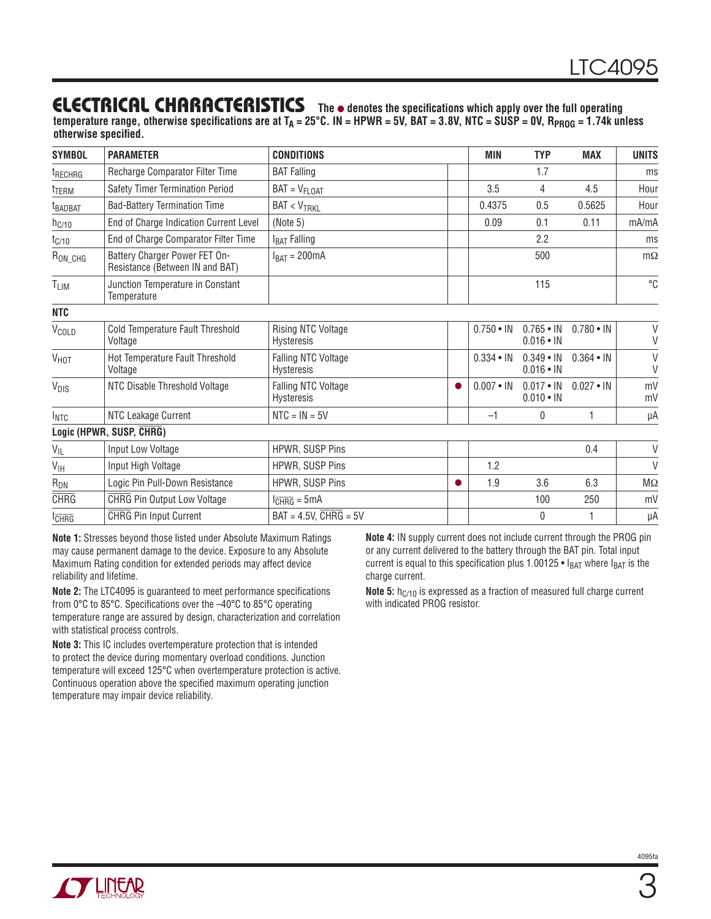### **ELECTRICAL CHARACTERISTICS The** ● **denotes the specifi cations which apply over the full operating**

temperature range, otherwise specifications are at T<sub>A</sub> = 25°C. IN = HPWR = 5V, BAT = 3.8V, NTC = SUSP = 0V, R<sub>PROG</sub> = 1.74k unless **otherwise specified.** 

| <b>SYMBOL</b>       | <b>PARAMETER</b>                                                 | <b>CONDITIONS</b>                        |           | <b>MIN</b>       | <b>TYP</b>                           | <b>MAX</b>       | <b>UNITS</b> |
|---------------------|------------------------------------------------------------------|------------------------------------------|-----------|------------------|--------------------------------------|------------------|--------------|
| <sup>t</sup> RECHRG | Recharge Comparator Filter Time                                  | <b>BAT Falling</b>                       |           |                  | 1.7                                  |                  | ms           |
| <sup>t</sup> TERM   | Safety Timer Termination Period                                  | $BAT = VFLOAT$                           |           | 3.5              | 4                                    | 4.5              | Hour         |
| <b>t</b> BADBAT     | <b>Bad-Battery Termination Time</b>                              | $BAT < V_{TRKL}$                         |           | 0.4375           | 0.5                                  | 0.5625           | Hour         |
| $h_{C/10}$          | End of Charge Indication Current Level                           | (Note 5)                                 |           | 0.09             | 0.1                                  | 0.11             | mA/mA        |
| $t_{C/10}$          | End of Charge Comparator Filter Time                             | I <sub>BAT</sub> Falling                 |           |                  | 2.2                                  |                  | ms           |
| $R_{ON\_CHG}$       | Battery Charger Power FET On-<br>Resistance (Between IN and BAT) | $I_{BAT} = 200mA$                        |           |                  | 500                                  |                  | $m\Omega$    |
| TLIM                | Junction Temperature in Constant<br>Temperature                  | 115                                      |           |                  | °C                                   |                  |              |
| <b>NTC</b>          |                                                                  |                                          |           |                  |                                      |                  |              |
| V <sub>COLD</sub>   | Cold Temperature Fault Threshold<br>Voltage                      | <b>Rising NTC Voltage</b><br>Hysteresis  |           | $0.750 \cdot IN$ | $0.765 \cdot IN$<br>$0.016 \cdot IN$ | $0.780 \cdot IN$ | $\vee$<br>V  |
| V <sub>HOT</sub>    | Hot Temperature Fault Threshold<br>Voltage                       | Falling NTC Voltage<br><b>Hysteresis</b> |           | $0.334 \cdot IN$ | $0.349 \cdot IN$<br>$0.016 \cdot IN$ | $0.364 \cdot IN$ | $\vee$<br>V  |
| V <sub>DIS</sub>    | NTC Disable Threshold Voltage                                    | Falling NTC Voltage<br>Hysteresis        |           | $0.007 \cdot IN$ | $0.017 \cdot IN$<br>$0.010 \cdot IN$ | $0.027 \cdot IN$ | mV<br>mV     |
| $I_{NTC}$           | NTC Leakage Current                                              | $NTC = IN = 5V$                          |           | $-1$             | 0                                    | $\mathbf{1}$     | μA           |
|                     | Logic (HPWR, SUSP, CHRG)                                         |                                          |           |                  |                                      |                  |              |
| $V_{IL}$            | Input Low Voltage                                                | HPWR, SUSP Pins                          |           |                  |                                      | 0.4              | $\vee$       |
| $V_{\text{IH}}$     | Input High Voltage                                               | HPWR, SUSP Pins                          |           | 1.2              |                                      |                  | $\vee$       |
| $R_{DN}$            | Logic Pin Pull-Down Resistance                                   | HPWR, SUSP Pins                          | $\bullet$ | 1.9              | 3.6                                  | 6.3              | $M\Omega$    |
| <b>CHRG</b>         | <b>CHRG Pin Output Low Voltage</b>                               | $l_{\overline{CHRG}} = 5mA$              |           |                  | 100                                  | 250              | mV           |
| <b>CHRG</b>         | <b>CHRG</b> Pin Input Current                                    | $BAT = 4.5V$ , $CHRG = 5V$<br>0          |           | 1                | μA                                   |                  |              |

**Note 1:** Stresses beyond those listed under Absolute Maximum Ratings may cause permanent damage to the device. Exposure to any Absolute Maximum Rating condition for extended periods may affect device reliability and lifetime.

**Note 2:** The LTC4095 is guaranteed to meet performance specifications from 0°C to 85°C. Specifications over the -40°C to 85°C operating temperature range are assured by design, characterization and correlation with statistical process controls.

**Note 3:** This IC includes overtemperature protection that is intended to protect the device during momentary overload conditions. Junction temperature will exceed 125°C when overtemperature protection is active. Continuous operation above the specified maximum operating junction temperature may impair device reliability.

**Note 4:** IN supply current does not include current through the PROG pin or any current delivered to the battery through the BAT pin. Total input current is equal to this specification plus 1.00125 •  $I_{BAT}$  where  $I_{BAT}$  is the charge current.

**Note 5:** h<sub>C/10</sub> is expressed as a fraction of measured full charge current with indicated PROG resistor.

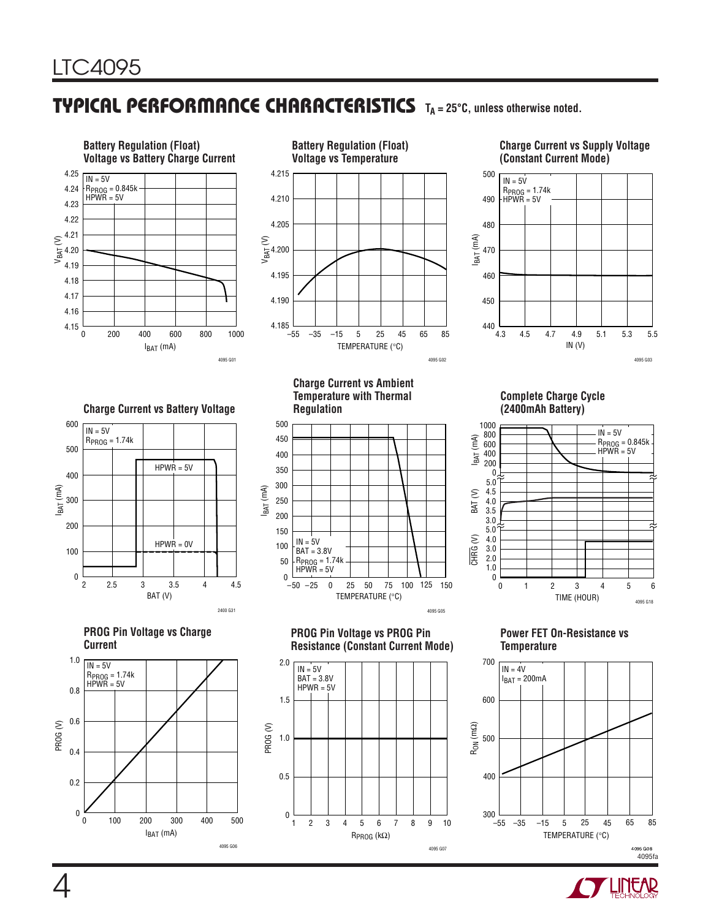## **TYPICAL PERFORMANCE CHARACTERISTICS TA = 25°C, unless otherwise noted.**



RPROG (kΩ)

4095 G07

TEMPERATURE (°C)

 $I<sub>BAT</sub>$  (mA)

4095 G06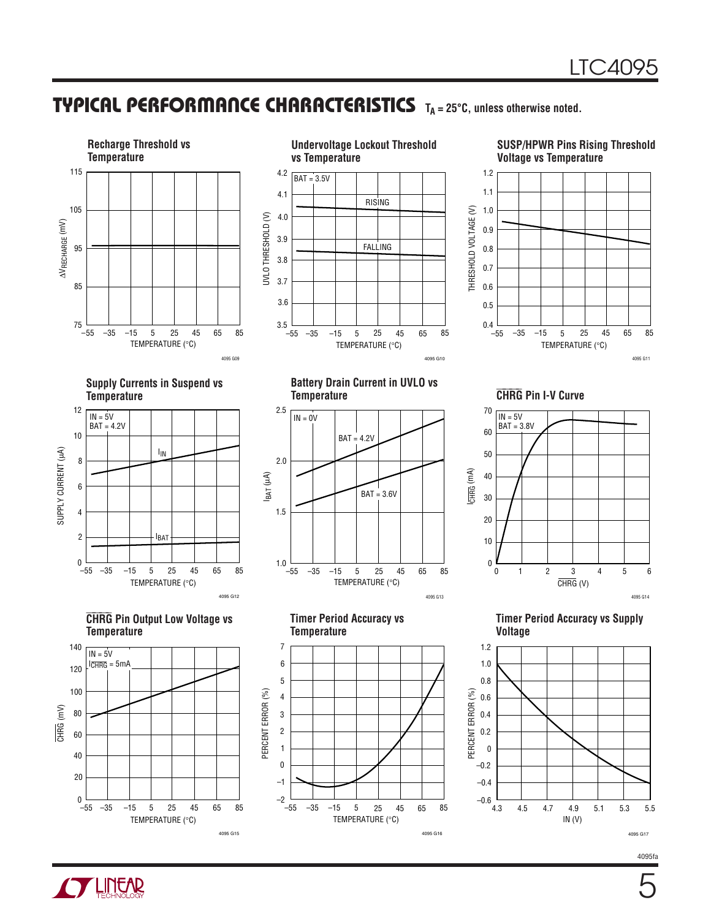## **TYPICAL PERFORMANCE CHARACTERISTICS** TA = 25°C, unless otherwise noted.



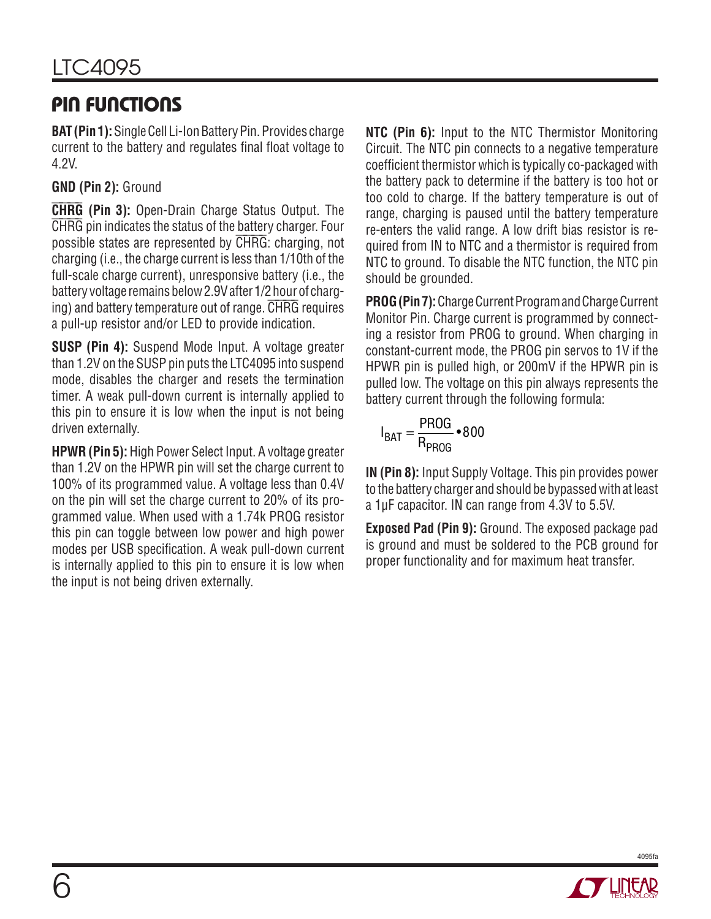# **PIN FUNCTIONS**

**BAT (Pin 1):** Single Cell Li-Ion Battery Pin. Provides charge current to the battery and regulates final float voltage to 4.2V.

### **GND (Pin 2):** Ground

。<br>│ **CHRG** (Pin 3): Open-Drain Charge Status Output. The  $\ddot{\phantom{a}}$ CHRG pin indicates the status of the battery charger. Four possible states are represented by CHRG: charging, not charging (i.e., the charge current is less than 1/10th of the full-scale charge current), unresponsive battery (i.e., the battery voltage remains below 2.9V after 1/2 hour of charging) and battery temperature out of range. CHRG requires a pull-up resistor and/or LED to provide indication.

**SUSP (Pin 4):** Suspend Mode Input. A voltage greater than 1.2V on the SUSP pin puts the LTC4095 into suspend mode, disables the charger and resets the termination timer. A weak pull-down current is internally applied to this pin to ensure it is low when the input is not being driven externally.

**HPWR (Pin 5):** High Power Select Input. A voltage greater than 1.2V on the HPWR pin will set the charge current to 100% of its programmed value. A voltage less than 0.4V on the pin will set the charge current to 20% of its programmed value. When used with a 1.74k PROG resistor this pin can toggle between low power and high power modes per USB specification. A weak pull-down current is internally applied to this pin to ensure it is low when the input is not being driven externally.

**NTC (Pin 6):** Input to the NTC Thermistor Monitoring Circuit. The NTC pin connects to a negative temperature coefficient thermistor which is typically co-packaged with the battery pack to determine if the battery is too hot or too cold to charge. If the battery temperature is out of range, charging is paused until the battery temperature re-enters the valid range. A low drift bias resistor is required from IN to NTC and a thermistor is required from NTC to ground. To disable the NTC function, the NTC pin should be grounded.

**PROG (Pin 7):** Charge Current Program and Charge Current Monitor Pin. Charge current is programmed by connecting a resistor from PROG to ground. When charging in constant-current mode, the PROG pin servos to 1V if the HPWR pin is pulled high, or 200mV if the HPWR pin is pulled low. The voltage on this pin always represents the battery current through the following formula:

$$
I_{BAT} = \frac{PROG}{R_{PROG}} \cdot 800
$$

**IN (Pin 8):** Input Supply Voltage. This pin provides power to the battery charger and should be bypassed with at least a 1µF capacitor. IN can range from 4.3V to 5.5V.

**Exposed Pad (Pin 9):** Ground. The exposed package pad is ground and must be soldered to the PCB ground for proper functionality and for maximum heat transfer.

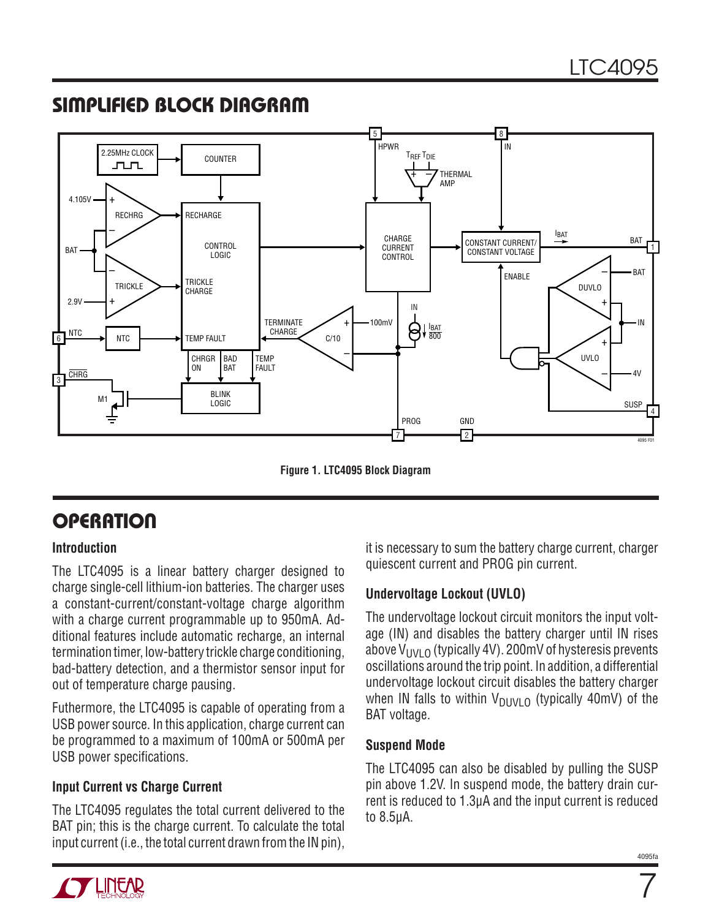## **SIMPLIFIED BLOCK DIAGRAM**



**Figure 1. LTC4095 Block Diagram**

# **OPERATION**

#### **Introduction**

The LTC4095 is a linear battery charger designed to charge single-cell lithium-ion batteries. The charger uses a constant-current/constant-voltage charge algorithm with a charge current programmable up to 950mA. Additional features include automatic recharge, an internal termination timer, low-battery trickle charge conditioning, bad-battery detection, and a thermistor sensor input for out of temperature charge pausing.

Futhermore, the LTC4095 is capable of operating from a USB power source. In this application, charge current can be programmed to a maximum of 100mA or 500mA per USB power specifications.

#### **Input Current vs Charge Current**

The LTC4095 regulates the total current delivered to the BAT pin; this is the charge current. To calculate the total input current (i.e., the total current drawn from the IN pin),

it is necessary to sum the battery charge current, charger quiescent current and PROG pin current.

#### **Undervoltage Lockout (UVLO)**

The undervoltage lockout circuit monitors the input voltage (IN) and disables the battery charger until IN rises above  $V_{UVLO}$  (typically 4V). 200mV of hysteresis prevents oscillations around the trip point. In addition, a differential undervoltage lockout circuit disables the battery charger when IN falls to within  $V_{DUVLO}$  (typically 40mV) of the BAT voltage.

#### **Suspend Mode**

The LTC4095 can also be disabled by pulling the SUSP pin above 1.2V. In suspend mode, the battery drain current is reduced to 1.3µA and the input current is reduced to 8.5µA.

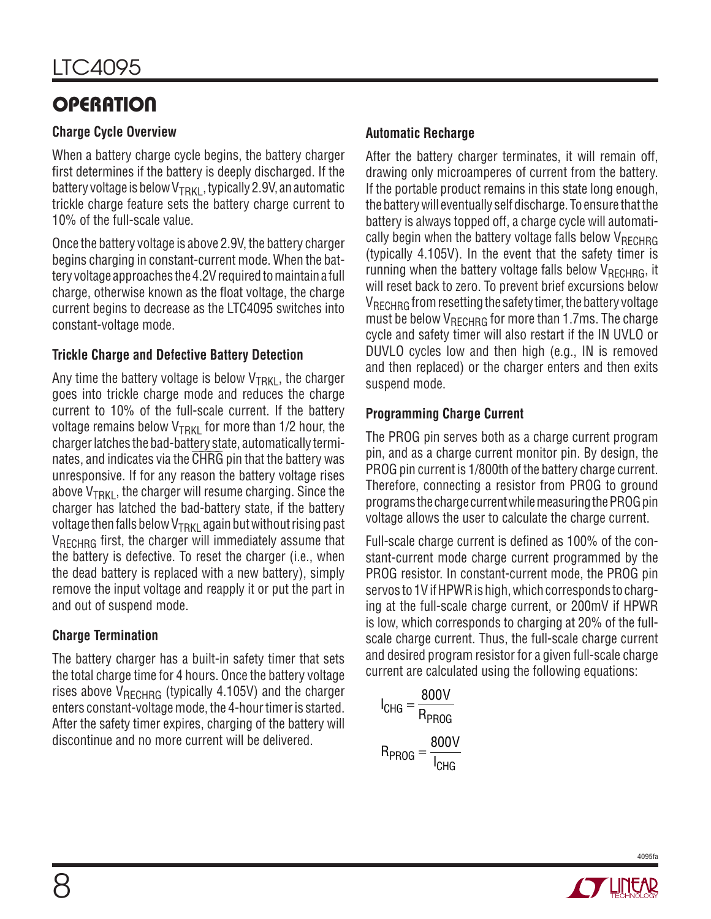# **OPERATION**

#### **Charge Cycle Overview**

When a battery charge cycle begins, the battery charger first determines if the battery is deeply discharged. If the battery voltage is below  $V_{TRKI}$ , typically 2.9V, an automatic trickle charge feature sets the battery charge current to 10% of the full-scale value.

Once the battery voltage is above 2.9V, the battery charger begins charging in constant-current mode. When the battery voltage approaches the 4.2V required to maintain a full charge, otherwise known as the float voltage, the charge current begins to decrease as the LTC4095 switches into constant-voltage mode.

### **Trickle Charge and Defective Battery Detection**

Any time the battery voltage is below  $V_{TRKl}$ , the charger goes into trickle charge mode and reduces the charge current to 10% of the full-scale current. If the battery voltage remains below  $V_{TRKI}$  for more than 1/2 hour, the charger latches the bad-battery state, automatically terminates, and indicates via the CHRG pin that the battery was unresponsive. If for any reason the battery voltage rises above  $V_{TRKl}$ , the charger will resume charging. Since the charger has latched the bad-battery state, if the battery voltage then falls below  $V<sub>TRKI</sub>$  again but without rising past V<sub>RECHRG</sub> first, the charger will immediately assume that the battery is defective. To reset the charger (i.e., when the dead battery is replaced with a new battery), simply remove the input voltage and reapply it or put the part in and out of suspend mode.

### **Charge Termination**

The battery charger has a built-in safety timer that sets the total charge time for 4 hours. Once the battery voltage rises above  $V_{RFCHRG}$  (typically 4.105V) and the charger enters constant-voltage mode, the 4-hour timer is started. After the safety timer expires, charging of the battery will discontinue and no more current will be delivered.

### **Automatic Recharge**

After the battery charger terminates, it will remain off, drawing only microamperes of current from the battery. If the portable product remains in this state long enough, the battery will eventually self discharge. To ensure that the battery is always topped off, a charge cycle will automatically begin when the battery voltage falls below  $V_{RFCHRG}$ (typically 4.105V). In the event that the safety timer is running when the battery voltage falls below  $V_{RFCHRG}$ , it will reset back to zero. To prevent brief excursions below  $V_{BFCHRG}$  from resetting the safety timer, the battery voltage must be below  $V_{RFCHRG}$  for more than 1.7ms. The charge cycle and safety timer will also restart if the IN UVLO or DUVLO cycles low and then high (e.g., IN is removed and then replaced) or the charger enters and then exits suspend mode.

### **Programming Charge Current**

The PROG pin serves both as a charge current program pin, and as a charge current monitor pin. By design, the PROG pin current is 1/800th of the battery charge current. Therefore, connecting a resistor from PROG to ground programs the charge current while measuring the PROG pin voltage allows the user to calculate the charge current.

Full-scale charge current is defined as 100% of the constant-current mode charge current programmed by the PROG resistor. In constant-current mode, the PROG pin servos to 1V if HPWR is high, which corresponds to charging at the full-scale charge current, or 200mV if HPWR is low, which corresponds to charging at 20% of the fullscale charge current. Thus, the full-scale charge current and desired program resistor for a given full-scale charge current are calculated using the following equations:

$$
I_{CHG} = \frac{800V}{R_{PROG}}
$$

$$
R_{PROG} = \frac{800V}{I_{CHG}}
$$

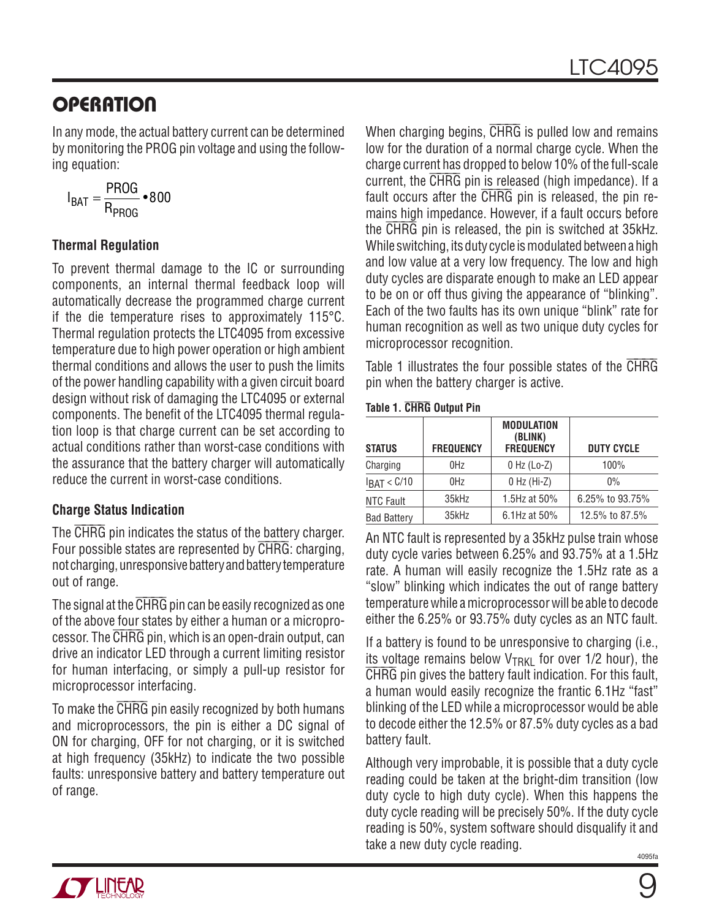## **OPERATION**

In any mode, the actual battery current can be determined by monitoring the PROG pin voltage and using the following equation:

$$
I_{BAT} = \frac{PROG}{R_{PROG}} \cdot 800
$$

#### **Thermal Regulation**

To prevent thermal damage to the IC or surrounding components, an internal thermal feedback loop will automatically decrease the programmed charge current if the die temperature rises to approximately 115°C. Thermal regulation protects the LTC4095 from excessive temperature due to high power operation or high ambient thermal conditions and allows the user to push the limits of the power handling capability with a given circuit board design without risk of damaging the LTC4095 or external components. The benefit of the LTC4095 thermal regulation loop is that charge current can be set according to actual conditions rather than worst-case conditions with the assurance that the battery charger will automatically reduce the current in worst-case conditions.

#### **Charge Status Indication**

The CHRG pin indicates the status of the battery charger. Four possible states are represented by CHRG: charging, not charging, unresponsive battery and battery temperature out of range.

The signal at the  $\overline{\text{CHRG}}$  pin can be easily recognized as one of the above four states by either a human or a microprocessor. The CHRG pin, which is an open-drain output, can drive an indicator LED through a current limiting resistor for human interfacing, or simply a pull-up resistor for microprocessor interfacing.

To make the  $\overline{\text{CHRG}}$  pin easily recognized by both humans and microprocessors, the pin is either a DC signal of ON for charging, OFF for not charging, or it is switched at high frequency (35kHz) to indicate the two possible faults: unresponsive battery and battery temperature out of range.

When charging begins,  $\overline{\text{CHRG}}$  is pulled low and remains low for the duration of a normal charge cycle. When the charge current has dropped to below 10% of the full-scale current, the CHRG pin is released (high impedance). If a fault occurs after the CHRG pin is released, the pin remains high impedance. However, if a fault occurs before the CHRG pin is released, the pin is switched at 35kHz. While switching, its duty cycle is modulated between a high and low value at a very low frequency. The low and high duty cycles are disparate enough to make an LED appear to be on or off thus giving the appearance of "blinking". Each of the two faults has its own unique "blink" rate for human recognition as well as two unique duty cycles for microprocessor recognition.

Table 1 illustrates the four possible states of the  $\overline{\text{CHRG}}$ pin when the battery charger is active.

|  |  |  | <b>Table 1. CHRG Output Pin</b> |  |
|--|--|--|---------------------------------|--|
|--|--|--|---------------------------------|--|

| <b>STATUS</b>      | <b>FREQUENCY</b> | <b>MODULATION</b><br>(BLINK)<br><b>FREQUENCY</b> | <b>DUTY CYCLE</b> |
|--------------------|------------------|--------------------------------------------------|-------------------|
| Charging           | 0Hz              | $0$ Hz (Lo-Z)                                    | 100%              |
| $I_{BAT} < C/10$   | 0Hz              | $0$ Hz (Hi-Z)                                    | $0\%$             |
| NTC Fault          | 35kHz            | 1.5Hz at 50%                                     | 6.25% to 93.75%   |
| <b>Bad Battery</b> | 35kHz            | 6.1Hz at 50%                                     | 12.5% to 87.5%    |

An NTC fault is represented by a 35kHz pulse train whose duty cycle varies between 6.25% and 93.75% at a 1.5Hz rate. A human will easily recognize the 1.5Hz rate as a "slow" blinking which indicates the out of range battery temperature while a microprocessor will be able to decode either the 6.25% or 93.75% duty cycles as an NTC fault.

If a battery is found to be unresponsive to charging (i.e., its voltage remains below  $V_{TRKI}$  for over 1/2 hour), the ⎯ **CHRG** pin gives the battery fault indication. For this fault, a human would easily recognize the frantic 6.1Hz "fast" blinking of the LED while a microprocessor would be able to decode either the 12.5% or 87.5% duty cycles as a bad battery fault.

4095fa Although very improbable, it is possible that a duty cycle reading could be taken at the bright-dim transition (low duty cycle to high duty cycle). When this happens the duty cycle reading will be precisely 50%. If the duty cycle reading is 50%, system software should disqualify it and take a new duty cycle reading.

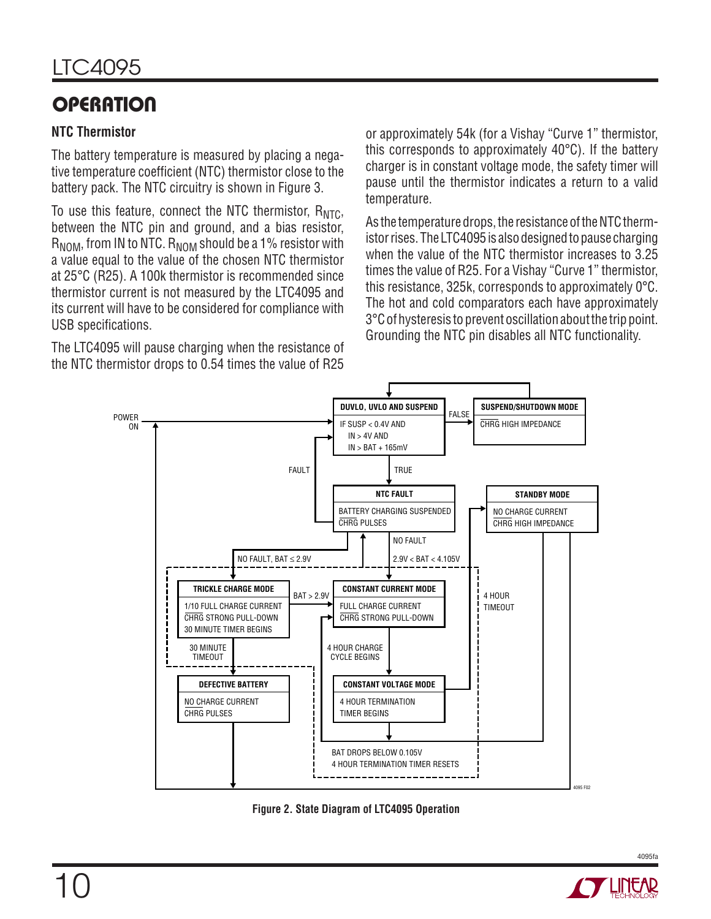# **OPERATION**

#### **NTC Thermistor**

The battery temperature is measured by placing a negative temperature coefficient (NTC) thermistor close to the battery pack. The NTC circuitry is shown in Figure 3.

To use this feature, connect the NTC thermistor,  $R_{\text{NTC}}$ , between the NTC pin and ground, and a bias resistor,  $R_{\text{NOM}}$ , from IN to NTC.  $R_{\text{NOM}}$  should be a 1% resistor with a value equal to the value of the chosen NTC thermistor at 25°C (R25). A 100k thermistor is recommended since thermistor current is not measured by the LTC4095 and its current will have to be considered for compliance with USB specifications.

The LTC4095 will pause charging when the resistance of the NTC thermistor drops to 0.54 times the value of R25 or approximately 54k (for a Vishay "Curve 1" thermistor, this corresponds to approximately 40°C). If the battery charger is in constant voltage mode, the safety timer will pause until the thermistor indicates a return to a valid temperature.

As the temperature drops, the resistance of the NTC thermistor rises. The LTC4095 is also designed to pause charging when the value of the NTC thermistor increases to 3.25 times the value of R25. For a Vishay "Curve 1" thermistor, this resistance, 325k, corresponds to approximately 0°C. The hot and cold comparators each have approximately 3°C of hysteresis to prevent oscillation about the trip point. Grounding the NTC pin disables all NTC functionality.



**Figure 2. State Diagram of LTC4095 Operation**

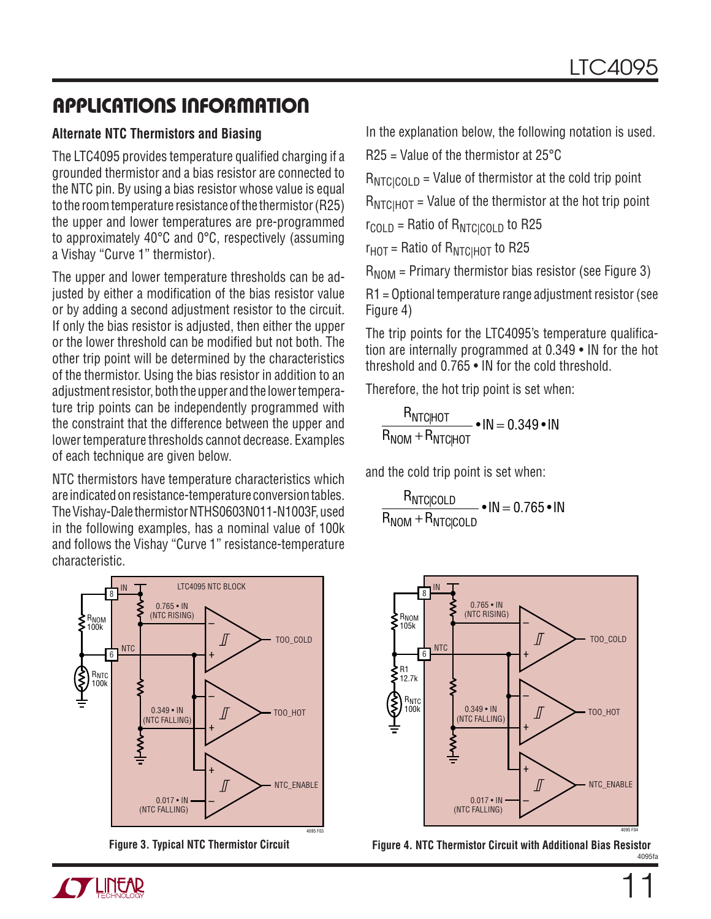#### **Alternate NTC Thermistors and Biasing**

The LTC4095 provides temperature qualified charging if a grounded thermistor and a bias resistor are connected to the NTC pin. By using a bias resistor whose value is equal to the room temperature resistance of the thermistor (R25) the upper and lower temperatures are pre-programmed to approximately 40°C and 0°C, respectively (assuming a Vishay "Curve 1" thermistor).

The upper and lower temperature thresholds can be adjusted by either a modification of the bias resistor value or by adding a second adjustment resistor to the circuit. If only the bias resistor is adjusted, then either the upper or the lower threshold can be modified but not both. The other trip point will be determined by the characteristics of the thermistor. Using the bias resistor in addition to an adjustment resistor, both the upper and the lower temperature trip points can be independently programmed with the constraint that the difference between the upper and lower temperature thresholds cannot decrease. Examples of each technique are given below.

NTC thermistors have temperature characteristics which are indicated on resistance-temperature conversion tables. The Vishay-Dale thermistor NTHS0603N011-N1003F, used in the following examples, has a nominal value of 100k and follows the Vishay "Curve 1" resistance-temperature characteristic.



In the explanation below, the following notation is used.

R25 = Value of the thermistor at 25°C

 $R_{NTCICOLD}$  = Value of thermistor at the cold trip point

 $R_{\text{NTCHOT}}$  = Value of the thermistor at the hot trip point

 $r_{\text{COLD}}$  = Ratio of  $R_{\text{NTC} \mid \text{COLD}}$  to R25

 $r<sub>HOT</sub>$  = Ratio of  $R<sub>NTCHOT</sub>$  to R25

 $R_{\text{NOM}}$  = Primary thermistor bias resistor (see Figure 3)

R1 = Optional temperature range adjustment resistor (see Figure 4)

The trip points for the LTC4095's temperature qualification are internally programmed at 0.349 • IN for the hot threshold and 0.765 • IN for the cold threshold.

Therefore, the hot trip point is set when:

$$
\frac{\mathsf{R}_{\text{NTC}|\text{HOT}}}{\mathsf{R}_{\text{NOM}} + \mathsf{R}_{\text{NTC}|\text{HOT}}}\bullet\mathsf{IN} = 0.349\bullet\mathsf{IN}
$$

and the cold trip point is set when:

R  $R_{NOM}$  + R  $\frac{\text{NTG}[\text{COLD}]}{\text{D}}$   $\bullet$  IN  $=$  0.765  $\bullet$  IN NOM NTCCOLD | |  $\frac{1000 \text{E}}{1000 \text{E}}$  • IN = 0.765 •





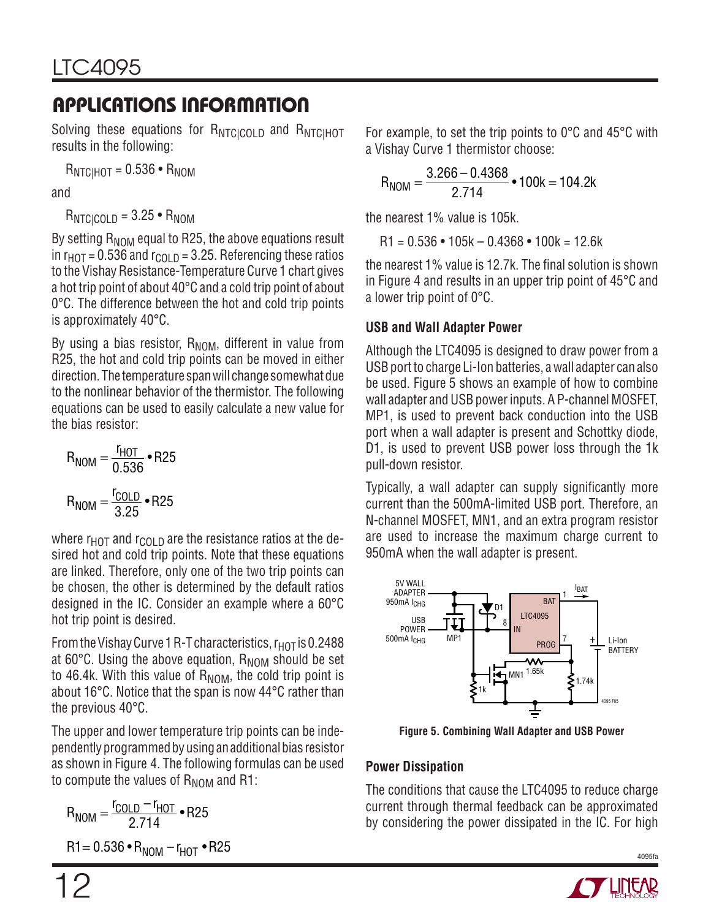Solving these equations for RNTCICOLD and RNTCIHOT results in the following:

 $R_{\text{NTCHOT}} = 0.536 \cdot R_{\text{NOM}}$ 

and

 $R_{NTCICOLD} = 3.25 \cdot R_{NOM}$ 

By setting  $R_{\text{NOM}}$  equal to R25, the above equations result in  $r<sub>HOT</sub> = 0.536$  and  $r<sub>COL</sub>$ <sub>D</sub> = 3.25. Referencing these ratios to the Vishay Resistance-Temperature Curve 1 chart gives a hot trip point of about 40°C and a cold trip point of about 0°C. The difference between the hot and cold trip points is approximately 40°C.

By using a bias resistor,  $R_{\text{NOM}}$ , different in value from R25, the hot and cold trip points can be moved in either direction. The temperature span will change somewhat due to the nonlinear behavior of the thermistor. The following equations can be used to easily calculate a new value for the bias resistor:

$$
R_{NOM} = \frac{r_{HOT}}{0.536} \cdot R25
$$

$$
R_{NOM} = \frac{r_{COLD}}{3.25} \cdot R25
$$

where  $r_{HOT}$  and  $r_{COI}$  p are the resistance ratios at the desired hot and cold trip points. Note that these equations are linked. Therefore, only one of the two trip points can be chosen, the other is determined by the default ratios designed in the IC. Consider an example where a 60°C hot trip point is desired.

From the Vishay Curve 1 R-T characteristics,  $r_{\text{HOT}}$  is 0.2488 at 60 $^{\circ}$ C. Using the above equation,  $R_{\text{NOM}}$  should be set to 46.4k. With this value of  $R_{\text{NOM}}$ , the cold trip point is about 16°C. Notice that the span is now 44°C rather than the previous 40°C.

The upper and lower temperature trip points can be independently programmed by using an additional bias resistor as shown in Figure 4. The following formulas can be used to compute the values of  $R_{\text{NOM}}$  and R1:

$$
R_{NOM} = \frac{r_{COLD} - r_{HOT}}{2.714} \cdot R25
$$
  
R1 = 0.536 • R<sub>NOM</sub> - r<sub>HOT</sub> • R25

For example, to set the trip points to 0°C and 45°C with a Vishay Curve 1 thermistor choose:

$$
R_{NOM} = \frac{3.266 - 0.4368}{2.714} \cdot 100k = 104.2k
$$

the nearest 1% value is 105k.

 $R1 = 0.536 \cdot 105k - 0.4368 \cdot 100k = 12.6k$ 

the nearest  $1\%$  value is  $12.7k$ . The final solution is shown in Figure 4 and results in an upper trip point of 45°C and a lower trip point of 0°C.

### **USB and Wall Adapter Power**

Although the LTC4095 is designed to draw power from a USB port to charge Li-Ion batteries, a wall adapter can also be used. Figure 5 shows an example of how to combine wall adapter and USB power inputs. A P-channel MOSFET, MP1, is used to prevent back conduction into the USB port when a wall adapter is present and Schottky diode, D1, is used to prevent USB power loss through the 1k pull-down resistor.

Typically, a wall adapter can supply significantly more current than the 500mA-limited USB port. Therefore, an N-channel MOSFET, MN1, and an extra program resistor are used to increase the maximum charge current to 950mA when the wall adapter is present.



**Figure 5. Combining Wall Adapter and USB Power**

### **Power Dissipation**

The conditions that cause the LTC4095 to reduce charge current through thermal feedback can be approximated by considering the power dissipated in the IC. For high



4095fa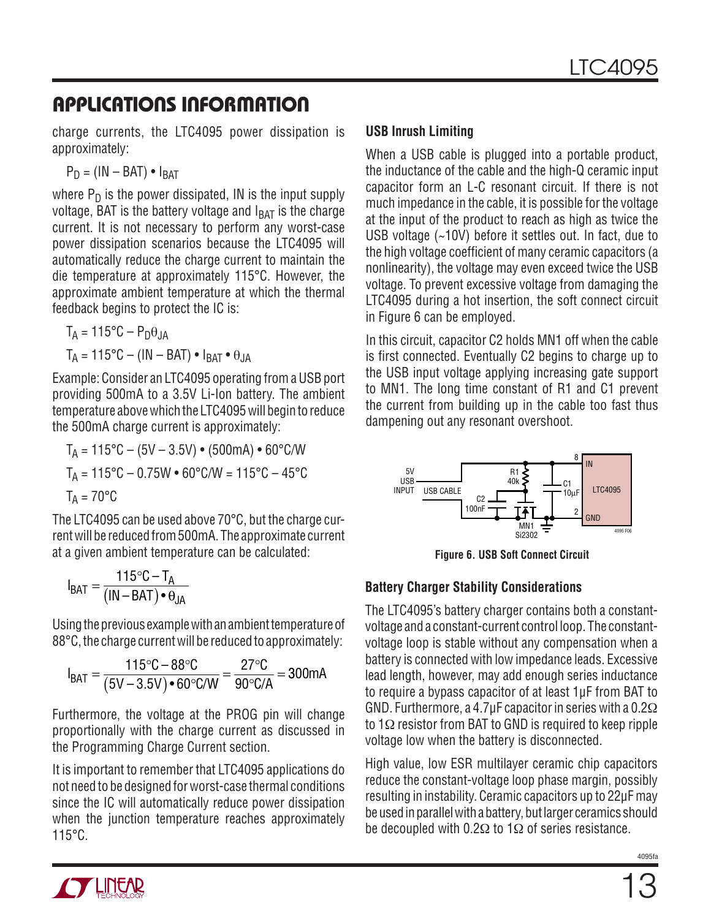charge currents, the LTC4095 power dissipation is approximately:

$$
P_D = (IN - BAT) \cdot I_{BAT}
$$

where  $P_D$  is the power dissipated, IN is the input supply voltage, BAT is the battery voltage and  $I_{BAT}$  is the charge current. It is not necessary to perform any worst-case power dissipation scenarios because the LTC4095 will automatically reduce the charge current to maintain the die temperature at approximately 115°C. However, the approximate ambient temperature at which the thermal feedback begins to protect the IC is:

$$
T_A = 115^{\circ}\text{C} - \text{P}_{D}\theta_{JA}
$$

$$
T_A = 115^{\circ}\text{C} - (\text{IN} - \text{BAT}) \cdot \text{I}_{BAT} \cdot \theta_{JA}
$$

Example: Consider an LTC4095 operating from a USB port providing 500mA to a 3.5V Li-Ion battery. The ambient temperature above which the LTC4095 will begin to reduce the 500mA charge current is approximately:

$$
T_A = 115^{\circ}\text{C} - (5\text{V} - 3.5\text{V}) \cdot (500\text{mA}) \cdot 60^{\circ}\text{C/W}
$$

$$
T_A = 115^{\circ}\text{C} - 0.75\text{W} \cdot 60^{\circ}\text{C/W} = 115^{\circ}\text{C} - 45^{\circ}\text{C}
$$

$$
T_A = 70^{\circ}\text{C}
$$

The LTC4095 can be used above 70°C, but the charge current will be reduced from 500mA. The approximate current at a given ambient temperature can be calculated:

$$
I_{BAT} = \frac{115\degree C - T_A}{(IN - BAT) \bullet \theta_{JA}}
$$

Using the previous example with an ambient temperature of 88°C, the charge current will be reduced to approximately:

$$
I_{BAT} = \frac{115\degree C - 88\degree C}{(5V - 3.5V) \cdot 60\degree C/W} = \frac{27\degree C}{90\degree C/A} = 300mA
$$

Furthermore, the voltage at the PROG pin will change proportionally with the charge current as discussed in the Programming Charge Current section.

It is important to remember that LTC4095 applications do not need to be designed for worst-case thermal conditions since the IC will automatically reduce power dissipation when the junction temperature reaches approximately 115°C.

#### **USB Inrush Limiting**

When a USB cable is plugged into a portable product, the inductance of the cable and the high-Q ceramic input capacitor form an L-C resonant circuit. If there is not much impedance in the cable, it is possible for the voltage at the input of the product to reach as high as twice the USB voltage (~10V) before it settles out. In fact, due to the high voltage coefficient of many ceramic capacitors (a nonlinearity), the voltage may even exceed twice the USB voltage. To prevent excessive voltage from damaging the LTC4095 during a hot insertion, the soft connect circuit in Figure 6 can be employed.

In this circuit, capacitor C2 holds MN1 off when the cable is first connected. Eventually C2 begins to charge up to the USB input voltage applying increasing gate support to MN1. The long time constant of R1 and C1 prevent the current from building up in the cable too fast thus dampening out any resonant overshoot.



**Figure 6. USB Soft Connect Circuit**

#### **Battery Charger Stability Considerations**

The LTC4095's battery charger contains both a constantvoltage and a constant-current control loop. The constantvoltage loop is stable without any compensation when a battery is connected with low impedance leads. Excessive lead length, however, may add enough series inductance to require a bypass capacitor of at least 1µF from BAT to GND. Furthermore, a 4.7µF capacitor in series with a 0.2Ω to 1Ω resistor from BAT to GND is required to keep ripple voltage low when the battery is disconnected.

High value, low ESR multilayer ceramic chip capacitors reduce the constant-voltage loop phase margin, possibly resulting in instability. Ceramic capacitors up to 22µF may be used in parallel with a battery, but larger ceramics should be decoupled with  $0.2\Omega$  to 1 $\Omega$  of series resistance.

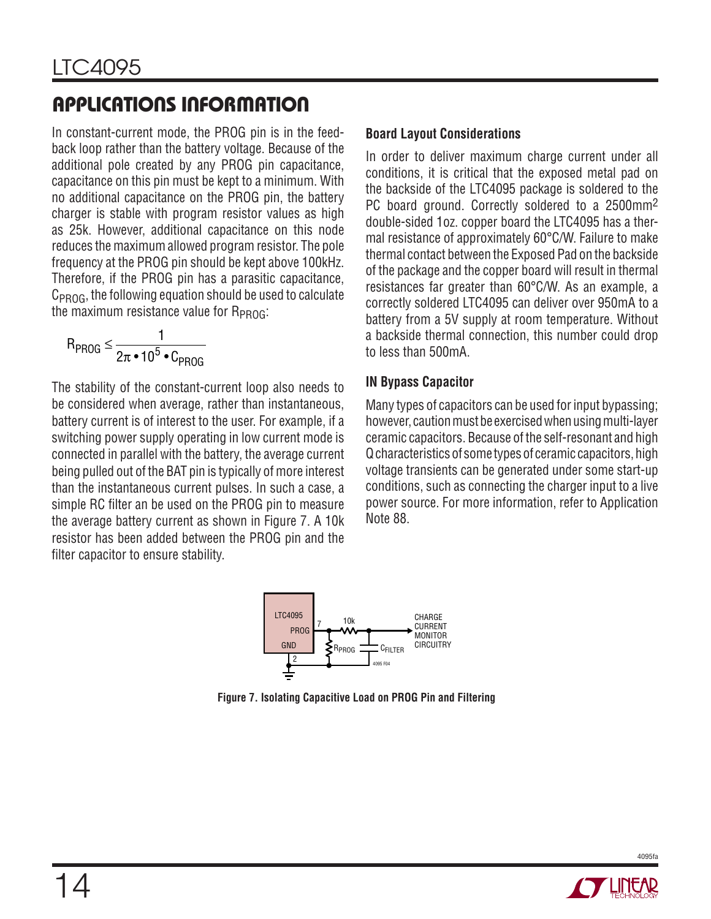In constant-current mode, the PROG pin is in the feedback loop rather than the battery voltage. Because of the additional pole created by any PROG pin capacitance, capacitance on this pin must be kept to a minimum. With no additional capacitance on the PROG pin, the battery charger is stable with program resistor values as high as 25k. However, additional capacitance on this node reduces the maximum allowed program resistor. The pole frequency at the PROG pin should be kept above 100kHz. Therefore, if the PROG pin has a parasitic capacitance,  $C_{PROG}$ , the following equation should be used to calculate the maximum resistance value for  $R_{PROG}$ :

$$
R_{PROG} \leq \frac{1}{2\pi \cdot 10^5 \cdot C_{PROG}}
$$

The stability of the constant-current loop also needs to be considered when average, rather than instantaneous, battery current is of interest to the user. For example, if a switching power supply operating in low current mode is connected in parallel with the battery, the average current being pulled out of the BAT pin is typically of more interest than the instantaneous current pulses. In such a case, a simple RC filter an be used on the PROG pin to measure the average battery current as shown in Figure 7. A 10k resistor has been added between the PROG pin and the filter capacitor to ensure stability.

#### **Board Layout Considerations**

In order to deliver maximum charge current under all conditions, it is critical that the exposed metal pad on the backside of the LTC4095 package is soldered to the PC board ground. Correctly soldered to a 2500mm2 double-sided 1oz. copper board the LTC4095 has a thermal resistance of approximately 60°C/W. Failure to make thermal contact between the Exposed Pad on the backside of the package and the copper board will result in thermal resistances far greater than 60°C/W. As an example, a correctly soldered LTC4095 can deliver over 950mA to a battery from a 5V supply at room temperature. Without a backside thermal connection, this number could drop to less than 500mA.

#### **IN Bypass Capacitor**

Many types of capacitors can be used for input bypassing; however, caution must be exercised when using multi-layer ceramic capacitors. Because of the self-resonant and high Q characteristics of some types of ceramic capacitors, high voltage transients can be generated under some start-up conditions, such as connecting the charger input to a live power source. For more information, refer to Application Note 88.



**Figure 7. Isolating Capacitive Load on PROG Pin and Filtering**

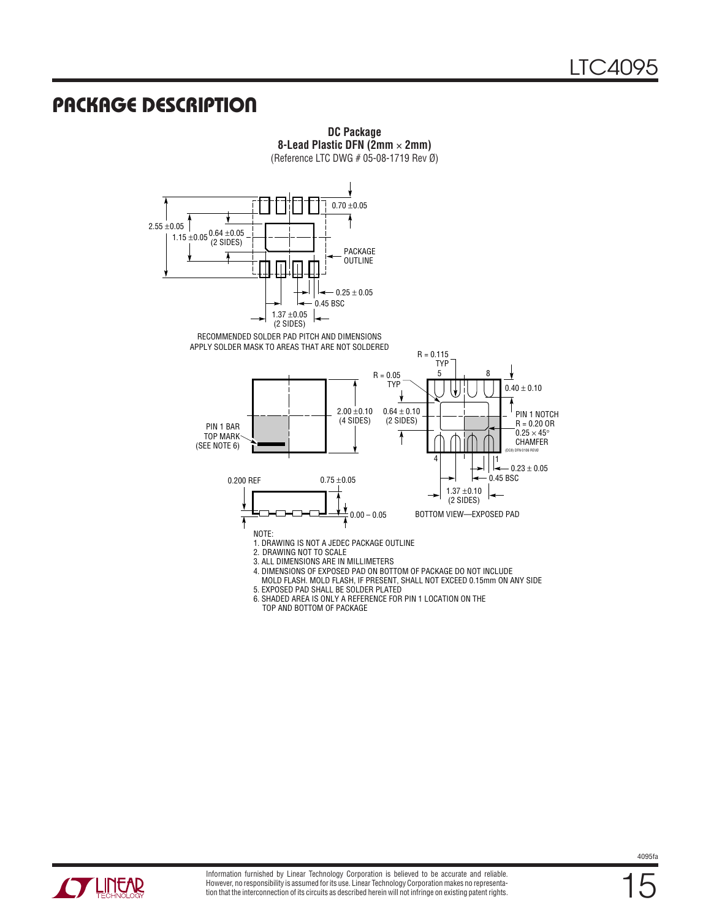## **PACKAGE DESCRIPTION**



**DC Package 8-Lead Plastic DFN (2mm** × **2mm)**

**CYLINEAR**